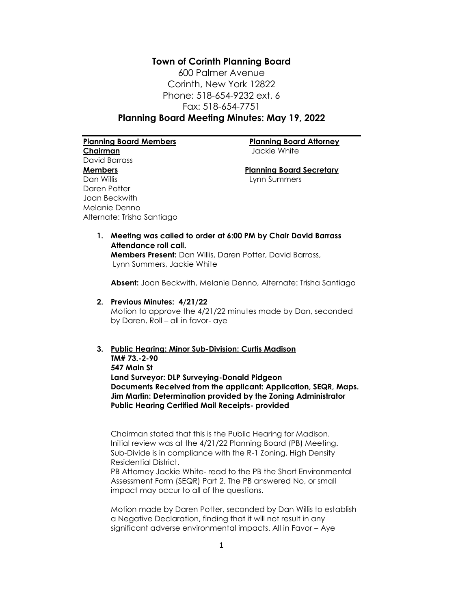**Town of Corinth Planning Board** 600 Palmer Avenue Corinth, New York 12822 Phone: 518-654-9232 ext. 6 Fax: 518-654-7751 **Planning Board Meeting Minutes: May 19, 2022**

**Planning Board Members Planning Board Attorney Chairman** Jackie White David Barrass **Members Planning Board Secretary** Dan Willis Lynn Summers Daren Potter Joan Beckwith Melanie Denno Alternate: Trisha Santiago

**1. Meeting was called to order at 6:00 PM by Chair David Barrass Attendance roll call. Members Present:** Dan Willis, Daren Potter, David Barrass, Lynn Summers, Jackie White

**Absent:** Joan Beckwith, Melanie Denno, Alternate: Trisha Santiago

**2. Previous Minutes: 4/21/22**

Motion to approve the 4/21/22 minutes made by Dan, seconded by Daren. Roll – all in favor- aye

# **3. Public Hearing: Minor Sub-Division: Curtis Madison**

**TM# 73.-2-90 547 Main St Land Surveyor: DLP Surveying-Donald Pidgeon Documents Received from the applicant: Application, SEQR, Maps. Jim Martin: Determination provided by the Zoning Administrator Public Hearing Certified Mail Receipts- provided**

Chairman stated that this is the Public Hearing for Madison. Initial review was at the 4/21/22 Planning Board (PB) Meeting. Sub-Divide is in compliance with the R-1 Zoning, High Density Residential District.

PB Attorney Jackie White- read to the PB the Short Environmental Assessment Form (SEQR) Part 2. The PB answered No, or small impact may occur to all of the questions.

Motion made by Daren Potter, seconded by Dan Willis to establish a Negative Declaration, finding that it will not result in any significant adverse environmental impacts. All in Favor – Aye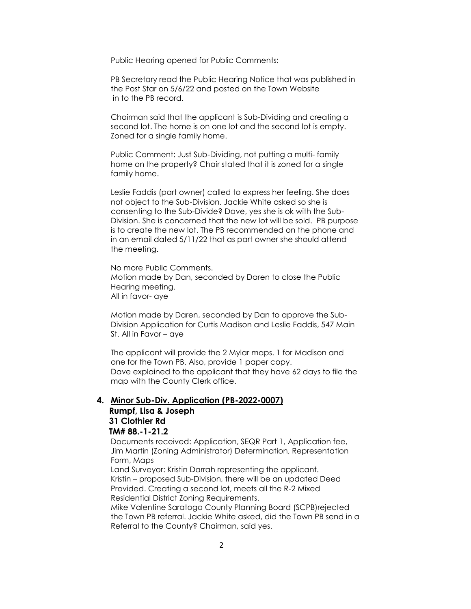Public Hearing opened for Public Comments:

PB Secretary read the Public Hearing Notice that was published in the Post Star on 5/6/22 and posted on the Town Website in to the PB record.

Chairman said that the applicant is Sub-Dividing and creating a second lot. The home is on one lot and the second lot is empty. Zoned for a single family home.

Public Comment: Just Sub-Dividing, not putting a multi- family home on the property? Chair stated that it is zoned for a single family home.

Leslie Faddis (part owner) called to express her feeling. She does not object to the Sub-Division. Jackie White asked so she is consenting to the Sub-Divide? Dave, yes she is ok with the Sub-Division. She is concerned that the new lot will be sold. PB purpose is to create the new lot. The PB recommended on the phone and in an email dated 5/11/22 that as part owner she should attend the meeting.

No more Public Comments. Motion made by Dan, seconded by Daren to close the Public Hearing meeting. All in favor- aye

Motion made by Daren, seconded by Dan to approve the Sub-Division Application for Curtis Madison and Leslie Faddis, 547 Main St. All in Favor – aye

The applicant will provide the 2 Mylar maps. 1 for Madison and one for the Town PB. Also, provide 1 paper copy. Dave explained to the applicant that they have 62 days to file the map with the County Clerk office.

#### **4. Minor Sub-Div. Application (PB-2022-0007)**

## **Rumpf, Lisa & Joseph 31 Clothier Rd TM# 88.-1-21.2**

Documents received: Application, SEQR Part 1, Application fee, Jim Martin (Zoning Administrator) Determination, Representation Form, Maps

Land Surveyor: Kristin Darrah representing the applicant. Kristin – proposed Sub-Division, there will be an updated Deed Provided. Creating a second lot, meets all the R-2 Mixed Residential District Zoning Requirements.

Mike Valentine Saratoga County Planning Board (SCPB)rejected the Town PB referral. Jackie White asked, did the Town PB send in a Referral to the County? Chairman, said yes.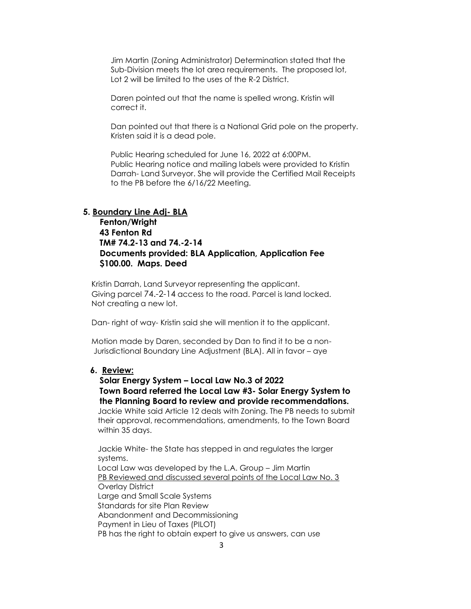Jim Martin (Zoning Administrator) Determination stated that the Sub-Division meets the lot area requirements. The proposed lot, Lot 2 will be limited to the uses of the R-2 District.

Daren pointed out that the name is spelled wrong. Kristin will correct it.

Dan pointed out that there is a National Grid pole on the property. Kristen said it is a dead pole.

Public Hearing scheduled for June 16, 2022 at 6:00PM. Public Hearing notice and mailing labels were provided to Kristin Darrah- Land Surveyor. She will provide the Certified Mail Receipts to the PB before the 6/16/22 Meeting.

#### **5. Boundary Line Adj- BLA**

 **Fenton/Wright 43 Fenton Rd TM# 74.2-13 and 74.-2-14 Documents provided: BLA Application, Application Fee \$100.00. Maps. Deed** 

 Kristin Darrah, Land Surveyor representing the applicant. Giving parcel 74.-2-14 access to the road. Parcel is land locked. Not creating a new lot.

Dan- right of way- Kristin said she will mention it to the applicant.

 Motion made by Daren, seconded by Dan to find it to be a non- Jurisdictional Boundary Line Adjustment (BLA). All in favor – aye

#### **6. Review:**

 **Solar Energy System – Local Law No.3 of 2022 Town Board referred the Local Law #3- Solar Energy System to the Planning Board to review and provide recommendations.** Jackie White said Article 12 deals with Zoning. The PB needs to submit their approval, recommendations, amendments, to the Town Board within 35 days.

 Jackie White- the State has stepped in and regulates the larger systems.

 Local Law was developed by the L.A. Group – Jim Martin PB Reviewed and discussed several points of the Local Law No. 3 Overlay District Large and Small Scale Systems Standards for site Plan Review Abandonment and Decommissioning Payment in Lieu of Taxes (PILOT) PB has the right to obtain expert to give us answers, can use